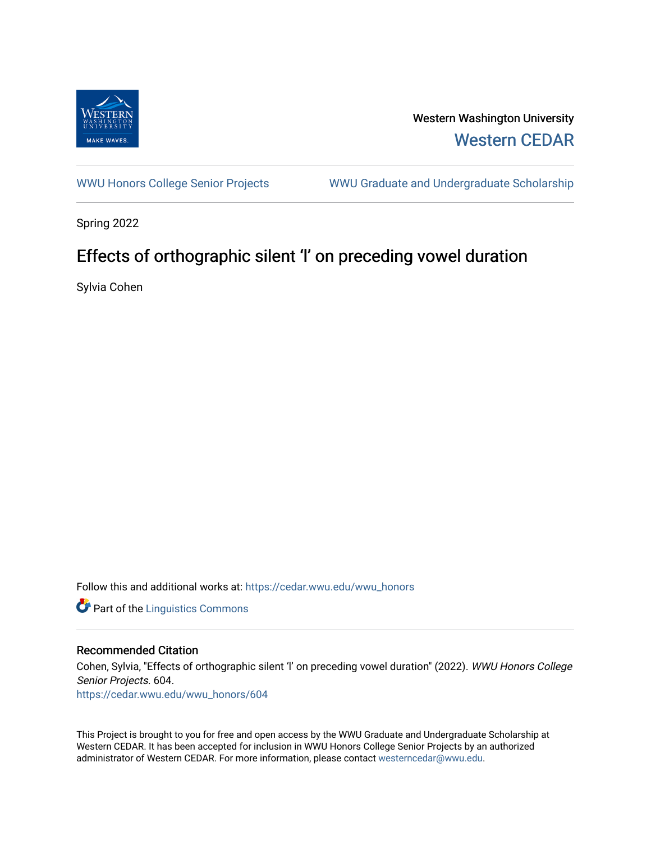

Western Washington University [Western CEDAR](https://cedar.wwu.edu/) 

[WWU Honors College Senior Projects](https://cedar.wwu.edu/wwu_honors) WWU Graduate and Undergraduate Scholarship

Spring 2022

# Effects of orthographic silent 'l' on preceding vowel duration

Sylvia Cohen

Follow this and additional works at: [https://cedar.wwu.edu/wwu\\_honors](https://cedar.wwu.edu/wwu_honors?utm_source=cedar.wwu.edu%2Fwwu_honors%2F604&utm_medium=PDF&utm_campaign=PDFCoverPages) 

**Part of the Linguistics Commons** 

## Recommended Citation

Cohen, Sylvia, "Effects of orthographic silent 'l' on preceding vowel duration" (2022). WWU Honors College Senior Projects. 604. [https://cedar.wwu.edu/wwu\\_honors/604](https://cedar.wwu.edu/wwu_honors/604?utm_source=cedar.wwu.edu%2Fwwu_honors%2F604&utm_medium=PDF&utm_campaign=PDFCoverPages)

This Project is brought to you for free and open access by the WWU Graduate and Undergraduate Scholarship at Western CEDAR. It has been accepted for inclusion in WWU Honors College Senior Projects by an authorized administrator of Western CEDAR. For more information, please contact [westerncedar@wwu.edu](mailto:westerncedar@wwu.edu).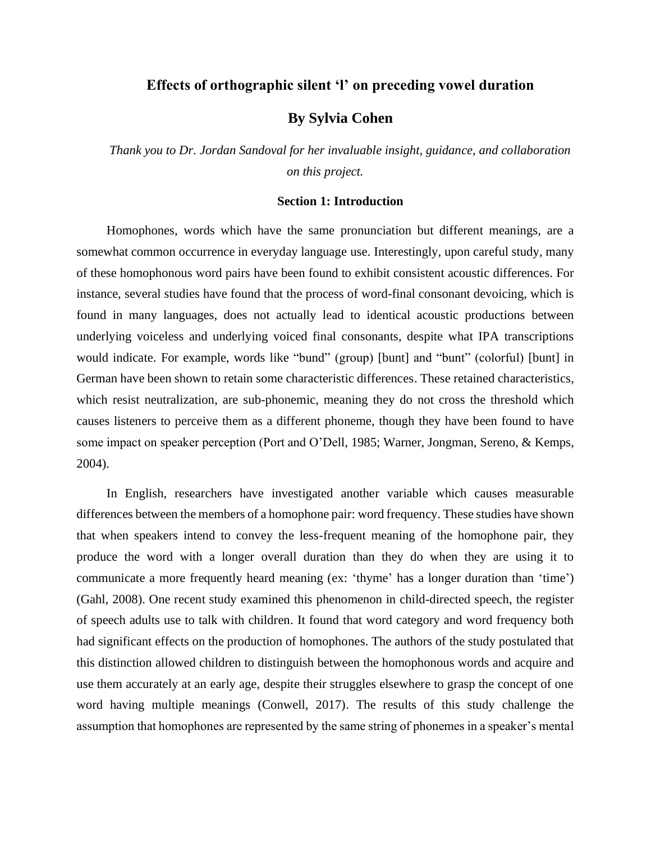# **Effects of orthographic silent 'l' on preceding vowel duration**

# **By Sylvia Cohen**

*Thank you to Dr. Jordan Sandoval for her invaluable insight, guidance, and collaboration on this project.*

### **Section 1: Introduction**

Homophones, words which have the same pronunciation but different meanings, are a somewhat common occurrence in everyday language use. Interestingly, upon careful study, many of these homophonous word pairs have been found to exhibit consistent acoustic differences. For instance, several studies have found that the process of word-final consonant devoicing, which is found in many languages, does not actually lead to identical acoustic productions between underlying voiceless and underlying voiced final consonants, despite what IPA transcriptions would indicate. For example, words like "bund" (group) [bunt] and "bunt" (colorful) [bunt] in German have been shown to retain some characteristic differences. These retained characteristics, which resist neutralization, are sub-phonemic, meaning they do not cross the threshold which causes listeners to perceive them as a different phoneme, though they have been found to have some impact on speaker perception (Port and O'Dell, 1985; Warner, Jongman, Sereno, & Kemps, 2004).

In English, researchers have investigated another variable which causes measurable differences between the members of a homophone pair: word frequency. These studies have shown that when speakers intend to convey the less-frequent meaning of the homophone pair, they produce the word with a longer overall duration than they do when they are using it to communicate a more frequently heard meaning (ex: 'thyme' has a longer duration than 'time') (Gahl, 2008). One recent study examined this phenomenon in child-directed speech, the register of speech adults use to talk with children. It found that word category and word frequency both had significant effects on the production of homophones. The authors of the study postulated that this distinction allowed children to distinguish between the homophonous words and acquire and use them accurately at an early age, despite their struggles elsewhere to grasp the concept of one word having multiple meanings (Conwell, 2017). The results of this study challenge the assumption that homophones are represented by the same string of phonemes in a speaker's mental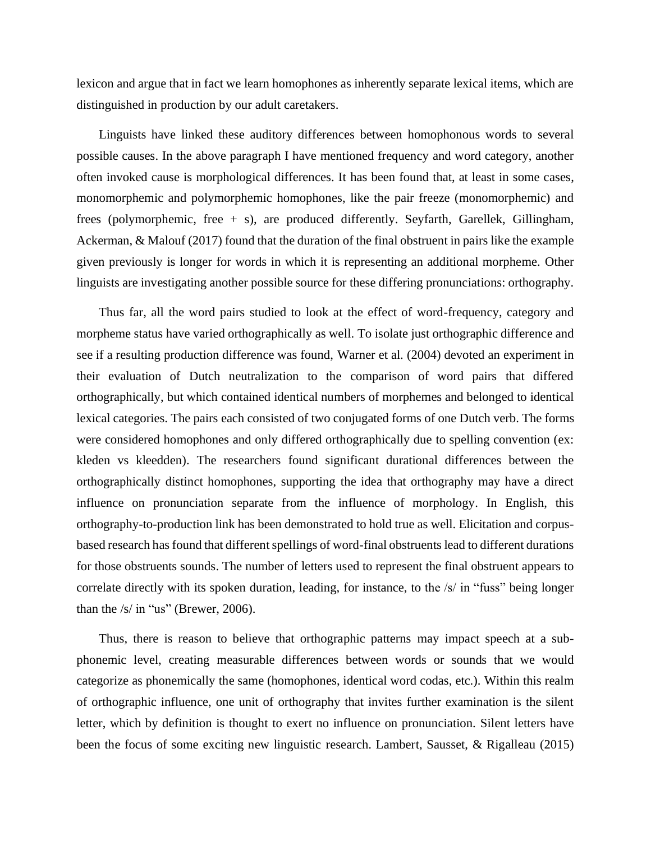lexicon and argue that in fact we learn homophones as inherently separate lexical items, which are distinguished in production by our adult caretakers.

 Linguists have linked these auditory differences between homophonous words to several possible causes. In the above paragraph I have mentioned frequency and word category, another often invoked cause is morphological differences. It has been found that, at least in some cases, monomorphemic and polymorphemic homophones, like the pair freeze (monomorphemic) and frees (polymorphemic, free + s), are produced differently. Seyfarth, Garellek, Gillingham, Ackerman, & Malouf (2017) found that the duration of the final obstruent in pairs like the example given previously is longer for words in which it is representing an additional morpheme. Other linguists are investigating another possible source for these differing pronunciations: orthography.

 Thus far, all the word pairs studied to look at the effect of word-frequency, category and morpheme status have varied orthographically as well. To isolate just orthographic difference and see if a resulting production difference was found, Warner et al. (2004) devoted an experiment in their evaluation of Dutch neutralization to the comparison of word pairs that differed orthographically, but which contained identical numbers of morphemes and belonged to identical lexical categories. The pairs each consisted of two conjugated forms of one Dutch verb. The forms were considered homophones and only differed orthographically due to spelling convention (ex: kleden vs kleedden). The researchers found significant durational differences between the orthographically distinct homophones, supporting the idea that orthography may have a direct influence on pronunciation separate from the influence of morphology. In English, this orthography-to-production link has been demonstrated to hold true as well. Elicitation and corpusbased research has found that different spellings of word-final obstruents lead to different durations for those obstruents sounds. The number of letters used to represent the final obstruent appears to correlate directly with its spoken duration, leading, for instance, to the /s/ in "fuss" being longer than the  $/s/$  in "us" (Brewer, 2006).

 Thus, there is reason to believe that orthographic patterns may impact speech at a subphonemic level, creating measurable differences between words or sounds that we would categorize as phonemically the same (homophones, identical word codas, etc.). Within this realm of orthographic influence, one unit of orthography that invites further examination is the silent letter, which by definition is thought to exert no influence on pronunciation. Silent letters have been the focus of some exciting new linguistic research. Lambert, Sausset, & Rigalleau (2015)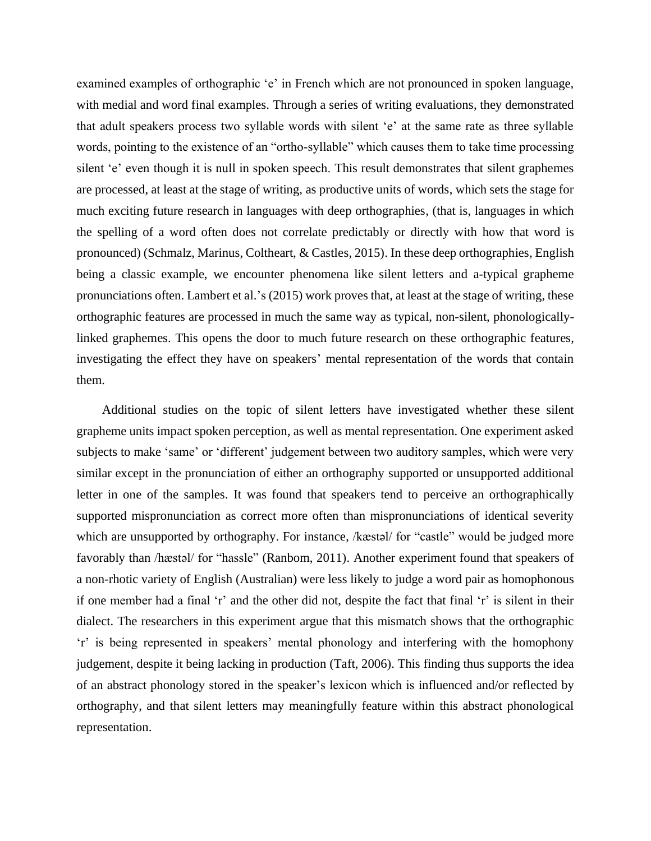examined examples of orthographic 'e' in French which are not pronounced in spoken language, with medial and word final examples. Through a series of writing evaluations, they demonstrated that adult speakers process two syllable words with silent 'e' at the same rate as three syllable words, pointing to the existence of an "ortho-syllable" which causes them to take time processing silent 'e' even though it is null in spoken speech. This result demonstrates that silent graphemes are processed, at least at the stage of writing, as productive units of words, which sets the stage for much exciting future research in languages with deep orthographies, (that is, languages in which the spelling of a word often does not correlate predictably or directly with how that word is pronounced) (Schmalz, Marinus, Coltheart, & Castles, 2015). In these deep orthographies, English being a classic example, we encounter phenomena like silent letters and a-typical grapheme pronunciations often. Lambert et al.'s (2015) work proves that, at least at the stage of writing, these orthographic features are processed in much the same way as typical, non-silent, phonologicallylinked graphemes. This opens the door to much future research on these orthographic features, investigating the effect they have on speakers' mental representation of the words that contain them.

 Additional studies on the topic of silent letters have investigated whether these silent grapheme units impact spoken perception, as well as mental representation. One experiment asked subjects to make 'same' or 'different' judgement between two auditory samples, which were very similar except in the pronunciation of either an orthography supported or unsupported additional letter in one of the samples. It was found that speakers tend to perceive an orthographically supported mispronunciation as correct more often than mispronunciations of identical severity which are unsupported by orthography. For instance, /kæstəl/ for "castle" would be judged more favorably than /hæstəl/ for "hassle" (Ranbom, 2011). Another experiment found that speakers of a non-rhotic variety of English (Australian) were less likely to judge a word pair as homophonous if one member had a final 'r' and the other did not, despite the fact that final 'r' is silent in their dialect. The researchers in this experiment argue that this mismatch shows that the orthographic 'r' is being represented in speakers' mental phonology and interfering with the homophony judgement, despite it being lacking in production (Taft, 2006). This finding thus supports the idea of an abstract phonology stored in the speaker's lexicon which is influenced and/or reflected by orthography, and that silent letters may meaningfully feature within this abstract phonological representation.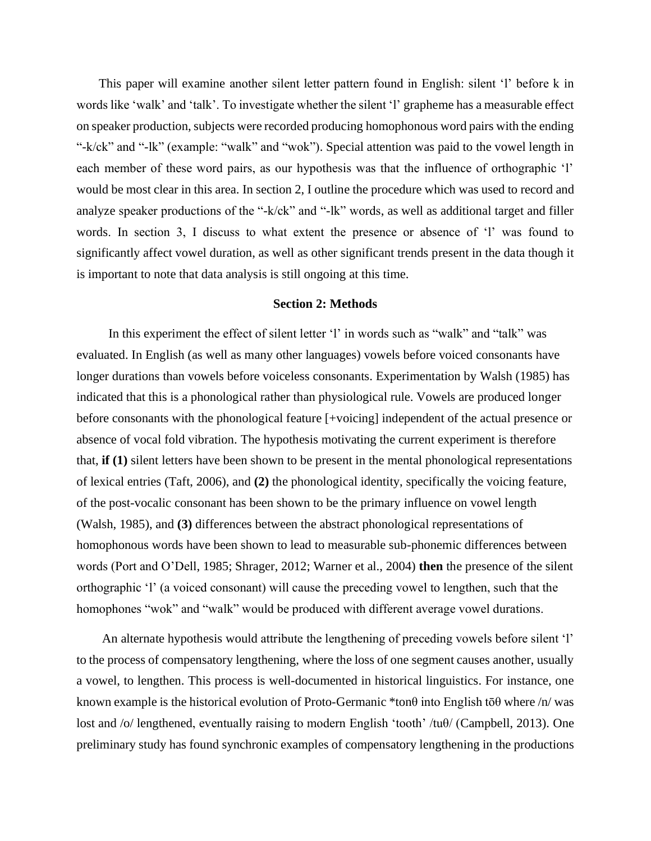This paper will examine another silent letter pattern found in English: silent 'l' before k in words like 'walk' and 'talk'. To investigate whether the silent 'l' grapheme has a measurable effect on speaker production, subjects were recorded producing homophonous word pairs with the ending "-k/ck" and "-lk" (example: "walk" and "wok"). Special attention was paid to the vowel length in each member of these word pairs, as our hypothesis was that the influence of orthographic 'l' would be most clear in this area. In section 2, I outline the procedure which was used to record and analyze speaker productions of the "-k/ck" and "-lk" words, as well as additional target and filler words. In section 3, I discuss to what extent the presence or absence of 'l' was found to significantly affect vowel duration, as well as other significant trends present in the data though it is important to note that data analysis is still ongoing at this time.

### **Section 2: Methods**

 In this experiment the effect of silent letter 'l' in words such as "walk" and "talk" was evaluated. In English (as well as many other languages) vowels before voiced consonants have longer durations than vowels before voiceless consonants. Experimentation by Walsh (1985) has indicated that this is a phonological rather than physiological rule. Vowels are produced longer before consonants with the phonological feature [+voicing] independent of the actual presence or absence of vocal fold vibration. The hypothesis motivating the current experiment is therefore that, **if (1)** silent letters have been shown to be present in the mental phonological representations of lexical entries (Taft, 2006), and **(2)** the phonological identity, specifically the voicing feature, of the post-vocalic consonant has been shown to be the primary influence on vowel length (Walsh, 1985), and **(3)** differences between the abstract phonological representations of homophonous words have been shown to lead to measurable sub-phonemic differences between words (Port and O'Dell, 1985; Shrager, 2012; Warner et al., 2004) **then** the presence of the silent orthographic 'l' (a voiced consonant) will cause the preceding vowel to lengthen, such that the homophones "wok" and "walk" would be produced with different average vowel durations.

 An alternate hypothesis would attribute the lengthening of preceding vowels before silent 'l' to the process of compensatory lengthening, where the loss of one segment causes another, usually a vowel, to lengthen. This process is well-documented in historical linguistics. For instance, one known example is the historical evolution of Proto-Germanic \*tonθ into English tōθ where /n/ was lost and /o/ lengthened, eventually raising to modern English 'tooth' /tuθ/ (Campbell, 2013). One preliminary study has found synchronic examples of compensatory lengthening in the productions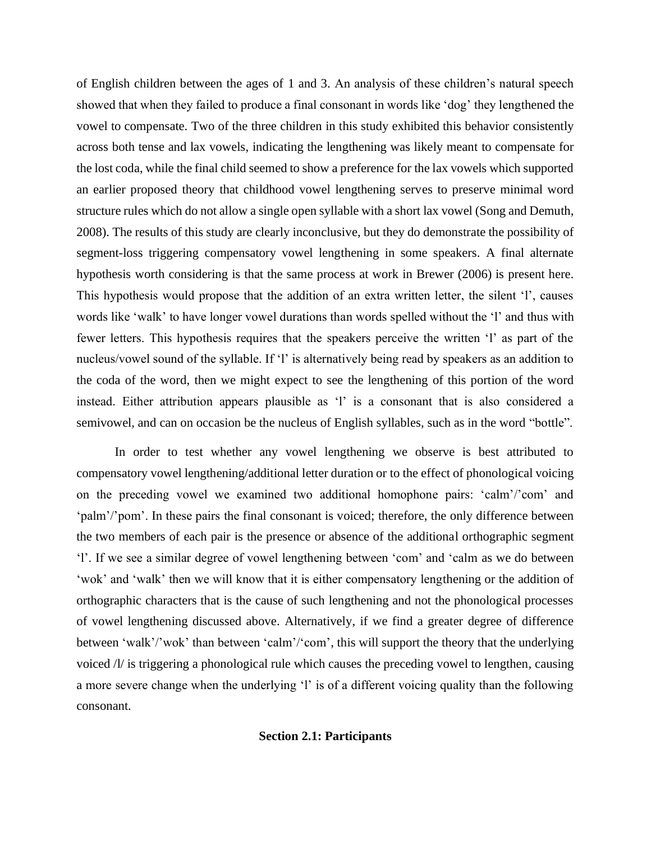of English children between the ages of 1 and 3. An analysis of these children's natural speech showed that when they failed to produce a final consonant in words like 'dog' they lengthened the vowel to compensate. Two of the three children in this study exhibited this behavior consistently across both tense and lax vowels, indicating the lengthening was likely meant to compensate for the lost coda, while the final child seemed to show a preference for the lax vowels which supported an earlier proposed theory that childhood vowel lengthening serves to preserve minimal word structure rules which do not allow a single open syllable with a short lax vowel (Song and Demuth, 2008). The results of this study are clearly inconclusive, but they do demonstrate the possibility of segment-loss triggering compensatory vowel lengthening in some speakers. A final alternate hypothesis worth considering is that the same process at work in Brewer (2006) is present here. This hypothesis would propose that the addition of an extra written letter, the silent 'l', causes words like 'walk' to have longer vowel durations than words spelled without the 'l' and thus with fewer letters. This hypothesis requires that the speakers perceive the written 'l' as part of the nucleus/vowel sound of the syllable. If 'l' is alternatively being read by speakers as an addition to the coda of the word, then we might expect to see the lengthening of this portion of the word instead. Either attribution appears plausible as 'l' is a consonant that is also considered a semivowel, and can on occasion be the nucleus of English syllables, such as in the word "bottle".

In order to test whether any vowel lengthening we observe is best attributed to compensatory vowel lengthening/additional letter duration or to the effect of phonological voicing on the preceding vowel we examined two additional homophone pairs: 'calm'/'com' and 'palm'/'pom'. In these pairs the final consonant is voiced; therefore, the only difference between the two members of each pair is the presence or absence of the additional orthographic segment 'l'. If we see a similar degree of vowel lengthening between 'com' and 'calm as we do between 'wok' and 'walk' then we will know that it is either compensatory lengthening or the addition of orthographic characters that is the cause of such lengthening and not the phonological processes of vowel lengthening discussed above. Alternatively, if we find a greater degree of difference between 'walk'/'wok' than between 'calm'/'com', this will support the theory that the underlying voiced /l/ is triggering a phonological rule which causes the preceding vowel to lengthen, causing a more severe change when the underlying 'l' is of a different voicing quality than the following consonant.

## **Section 2.1: Participants**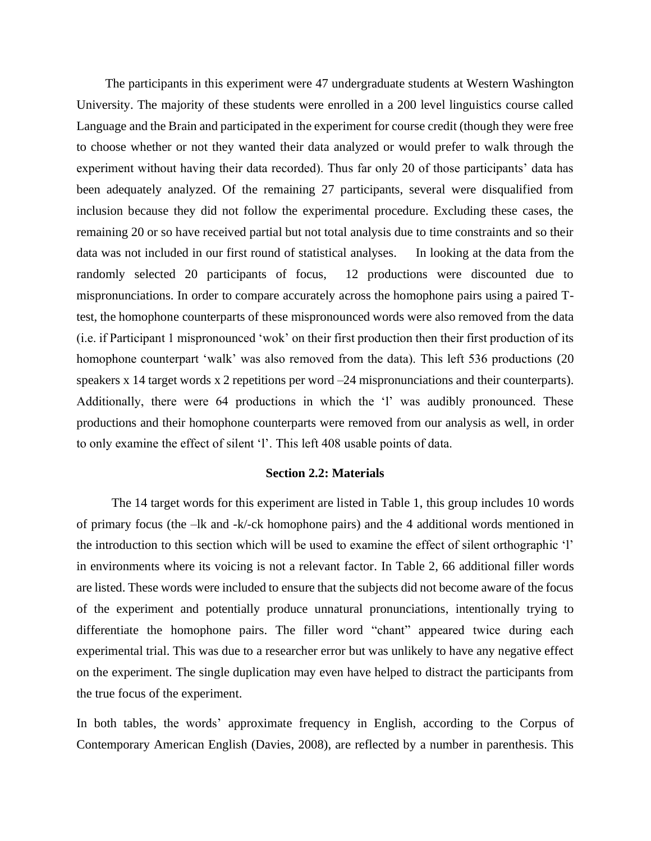The participants in this experiment were 47 undergraduate students at Western Washington University. The majority of these students were enrolled in a 200 level linguistics course called Language and the Brain and participated in the experiment for course credit (though they were free to choose whether or not they wanted their data analyzed or would prefer to walk through the experiment without having their data recorded). Thus far only 20 of those participants' data has been adequately analyzed. Of the remaining 27 participants, several were disqualified from inclusion because they did not follow the experimental procedure. Excluding these cases, the remaining 20 or so have received partial but not total analysis due to time constraints and so their data was not included in our first round of statistical analyses. In looking at the data from the randomly selected 20 participants of focus, 12 productions were discounted due to mispronunciations. In order to compare accurately across the homophone pairs using a paired Ttest, the homophone counterparts of these mispronounced words were also removed from the data (i.e. if Participant 1 mispronounced 'wok' on their first production then their first production of its homophone counterpart 'walk' was also removed from the data). This left 536 productions (20 speakers x 14 target words x 2 repetitions per word –24 mispronunciations and their counterparts). Additionally, there were 64 productions in which the 'l' was audibly pronounced. These productions and their homophone counterparts were removed from our analysis as well, in order to only examine the effect of silent 'l'. This left 408 usable points of data.

#### **Section 2.2: Materials**

 The 14 target words for this experiment are listed in Table 1, this group includes 10 words of primary focus (the –lk and -k/-ck homophone pairs) and the 4 additional words mentioned in the introduction to this section which will be used to examine the effect of silent orthographic 'l' in environments where its voicing is not a relevant factor. In Table 2, 66 additional filler words are listed. These words were included to ensure that the subjects did not become aware of the focus of the experiment and potentially produce unnatural pronunciations, intentionally trying to differentiate the homophone pairs. The filler word "chant" appeared twice during each experimental trial. This was due to a researcher error but was unlikely to have any negative effect on the experiment. The single duplication may even have helped to distract the participants from the true focus of the experiment.

In both tables, the words' approximate frequency in English, according to the Corpus of Contemporary American English (Davies, 2008), are reflected by a number in parenthesis. This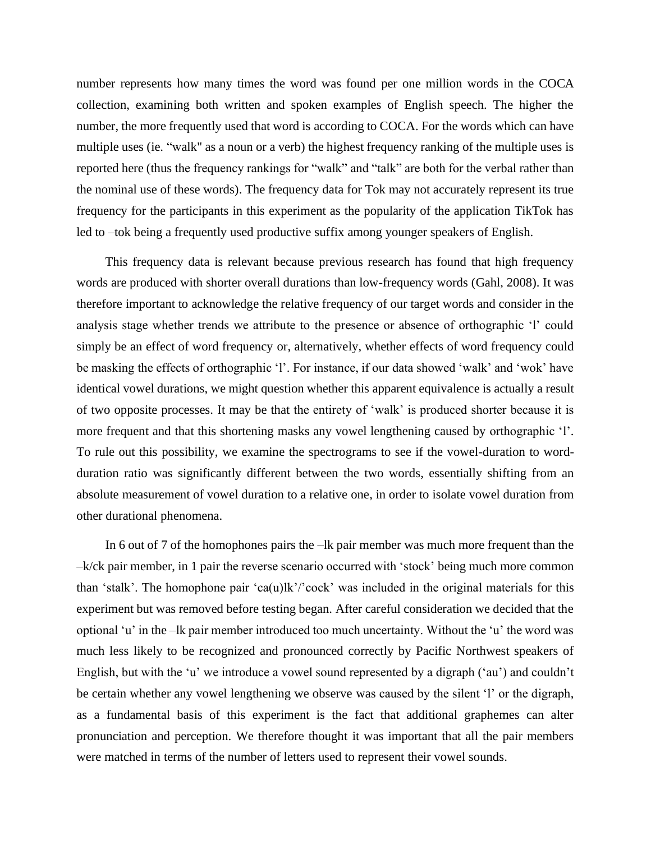number represents how many times the word was found per one million words in the COCA collection, examining both written and spoken examples of English speech. The higher the number, the more frequently used that word is according to COCA. For the words which can have multiple uses (ie. "walk" as a noun or a verb) the highest frequency ranking of the multiple uses is reported here (thus the frequency rankings for "walk" and "talk" are both for the verbal rather than the nominal use of these words). The frequency data for Tok may not accurately represent its true frequency for the participants in this experiment as the popularity of the application TikTok has led to –tok being a frequently used productive suffix among younger speakers of English.

 This frequency data is relevant because previous research has found that high frequency words are produced with shorter overall durations than low-frequency words (Gahl, 2008). It was therefore important to acknowledge the relative frequency of our target words and consider in the analysis stage whether trends we attribute to the presence or absence of orthographic 'l' could simply be an effect of word frequency or, alternatively, whether effects of word frequency could be masking the effects of orthographic 'l'. For instance, if our data showed 'walk' and 'wok' have identical vowel durations, we might question whether this apparent equivalence is actually a result of two opposite processes. It may be that the entirety of 'walk' is produced shorter because it is more frequent and that this shortening masks any vowel lengthening caused by orthographic 'l'. To rule out this possibility, we examine the spectrograms to see if the vowel-duration to wordduration ratio was significantly different between the two words, essentially shifting from an absolute measurement of vowel duration to a relative one, in order to isolate vowel duration from other durational phenomena.

 In 6 out of 7 of the homophones pairs the –lk pair member was much more frequent than the –k/ck pair member, in 1 pair the reverse scenario occurred with 'stock' being much more common than 'stalk'. The homophone pair 'ca(u)lk'/'cock' was included in the original materials for this experiment but was removed before testing began. After careful consideration we decided that the optional 'u' in the –lk pair member introduced too much uncertainty. Without the 'u' the word was much less likely to be recognized and pronounced correctly by Pacific Northwest speakers of English, but with the 'u' we introduce a vowel sound represented by a digraph ('au') and couldn't be certain whether any vowel lengthening we observe was caused by the silent 'l' or the digraph, as a fundamental basis of this experiment is the fact that additional graphemes can alter pronunciation and perception. We therefore thought it was important that all the pair members were matched in terms of the number of letters used to represent their vowel sounds.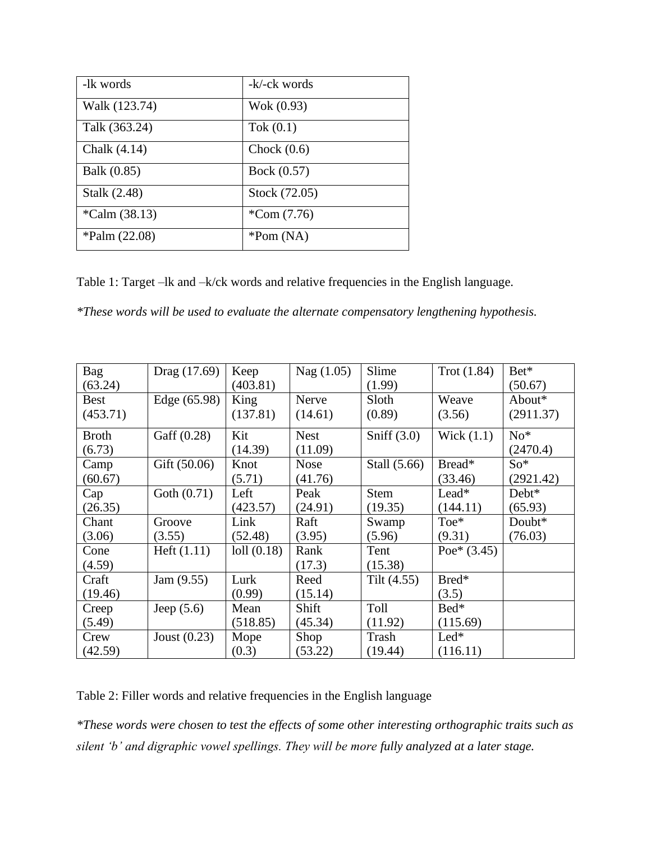| -lk words        | -k/-ck words  |
|------------------|---------------|
| Walk (123.74)    | Wok (0.93)    |
| Talk (363.24)    | Tok $(0.1)$   |
| Chalk (4.14)     | Chock $(0.6)$ |
| Balk (0.85)      | Bock (0.57)   |
| Stalk (2.48)     | Stock (72.05) |
| $^*Calm (38.13)$ | $^*Com(7.76)$ |
| $*$ Palm (22.08) | $*Pom(NA)$    |

Table 1: Target –lk and –k/ck words and relative frequencies in the English language.

*\*These words will be used to evaluate the alternate compensatory lengthening hypothesis.*

| <b>Bag</b>   | Drag (17.69)     | Keep      | Nag(1.05)   | Slime         | Trot(1.84)    | Bet*      |
|--------------|------------------|-----------|-------------|---------------|---------------|-----------|
| (63.24)      |                  | (403.81)  |             | (1.99)        |               | (50.67)   |
| <b>Best</b>  | Edge (65.98)     | King      | Nerve       | Sloth         | Weave         | About*    |
| (453.71)     |                  | (137.81)  | (14.61)     | (0.89)        | (3.56)        | (2911.37) |
| <b>Broth</b> | Gaff (0.28)      | Kit       | <b>Nest</b> | Sniff $(3.0)$ | Wick $(1.1)$  | $No*$     |
| (6.73)       |                  | (14.39)   | (11.09)     |               |               | (2470.4)  |
| Camp         | Gift (50.06)     | Knot      | <b>Nose</b> | Stall (5.66)  | Bread*        | $So*$     |
| (60.67)      |                  | (5.71)    | (41.76)     |               | (33.46)       | (2921.42) |
| Cap          | Goth $(0.71)$    | Left      | Peak        | Stem          | Lead*         | Debt*     |
| (26.35)      |                  | (423.57)  | (24.91)     | (19.35)       | (144.11)      | (65.93)   |
| Chant        | Groove           | Link      | Raft        | Swamp         | $Toe*$        | Doubt*    |
| (3.06)       | (3.55)           | (52.48)   | (3.95)      | (5.96)        | (9.31)        | (76.03)   |
| Cone         | $H$ eft $(1.11)$ | 101(0.18) | Rank        | Tent          | Poe* $(3.45)$ |           |
| (4.59)       |                  |           | (17.3)      | (15.38)       |               |           |
| Craft        | Jam(9.55)        | Lurk      | Reed        | Tilt $(4.55)$ | Bred*         |           |
| (19.46)      |                  | (0.99)    | (15.14)     |               | (3.5)         |           |
| Creep        | Jeep $(5.6)$     | Mean      | Shift       | Toll          | Bed*          |           |
| (5.49)       |                  | (518.85)  | (45.34)     | (11.92)       | (115.69)      |           |
| Crew         | Joust $(0.23)$   | Mope      | Shop        | Trash         | $Led*$        |           |
| (42.59)      |                  | (0.3)     | (53.22)     | (19.44)       | (116.11)      |           |

Table 2: Filler words and relative frequencies in the English language

*\*These words were chosen to test the effects of some other interesting orthographic traits such as silent 'b' and digraphic vowel spellings. They will be more fully analyzed at a later stage.*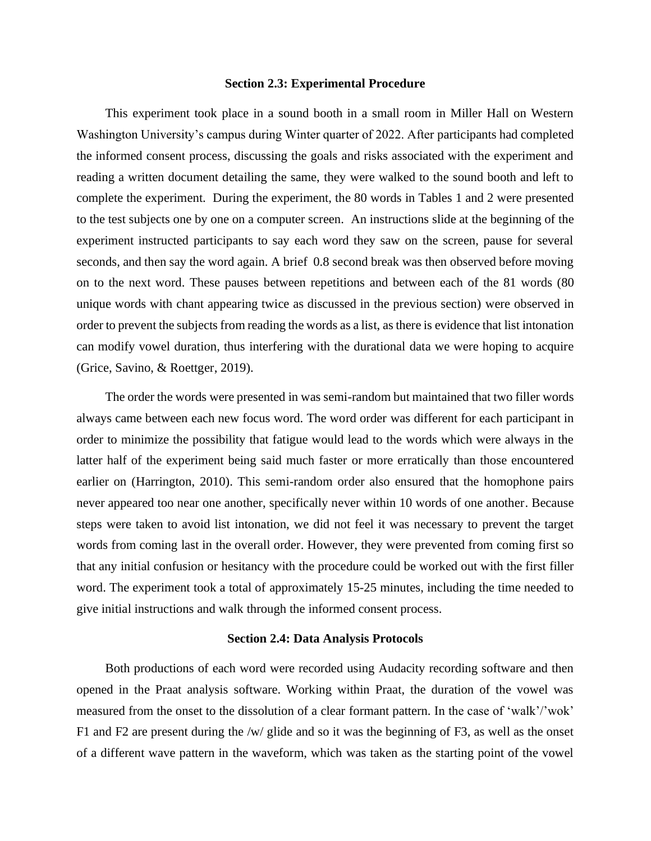#### **Section 2.3: Experimental Procedure**

 This experiment took place in a sound booth in a small room in Miller Hall on Western Washington University's campus during Winter quarter of 2022. After participants had completed the informed consent process, discussing the goals and risks associated with the experiment and reading a written document detailing the same, they were walked to the sound booth and left to complete the experiment. During the experiment, the 80 words in Tables 1 and 2 were presented to the test subjects one by one on a computer screen. An instructions slide at the beginning of the experiment instructed participants to say each word they saw on the screen, pause for several seconds, and then say the word again. A brief 0.8 second break was then observed before moving on to the next word. These pauses between repetitions and between each of the 81 words (80 unique words with chant appearing twice as discussed in the previous section) were observed in order to prevent the subjects from reading the words as a list, as there is evidence that list intonation can modify vowel duration, thus interfering with the durational data we were hoping to acquire (Grice, Savino, & Roettger, 2019).

 The order the words were presented in was semi-random but maintained that two filler words always came between each new focus word. The word order was different for each participant in order to minimize the possibility that fatigue would lead to the words which were always in the latter half of the experiment being said much faster or more erratically than those encountered earlier on (Harrington, 2010). This semi-random order also ensured that the homophone pairs never appeared too near one another, specifically never within 10 words of one another. Because steps were taken to avoid list intonation, we did not feel it was necessary to prevent the target words from coming last in the overall order. However, they were prevented from coming first so that any initial confusion or hesitancy with the procedure could be worked out with the first filler word. The experiment took a total of approximately 15-25 minutes, including the time needed to give initial instructions and walk through the informed consent process.

#### **Section 2.4: Data Analysis Protocols**

 Both productions of each word were recorded using Audacity recording software and then opened in the Praat analysis software. Working within Praat, the duration of the vowel was measured from the onset to the dissolution of a clear formant pattern. In the case of 'walk'/'wok' F1 and F2 are present during the /w/ glide and so it was the beginning of F3, as well as the onset of a different wave pattern in the waveform, which was taken as the starting point of the vowel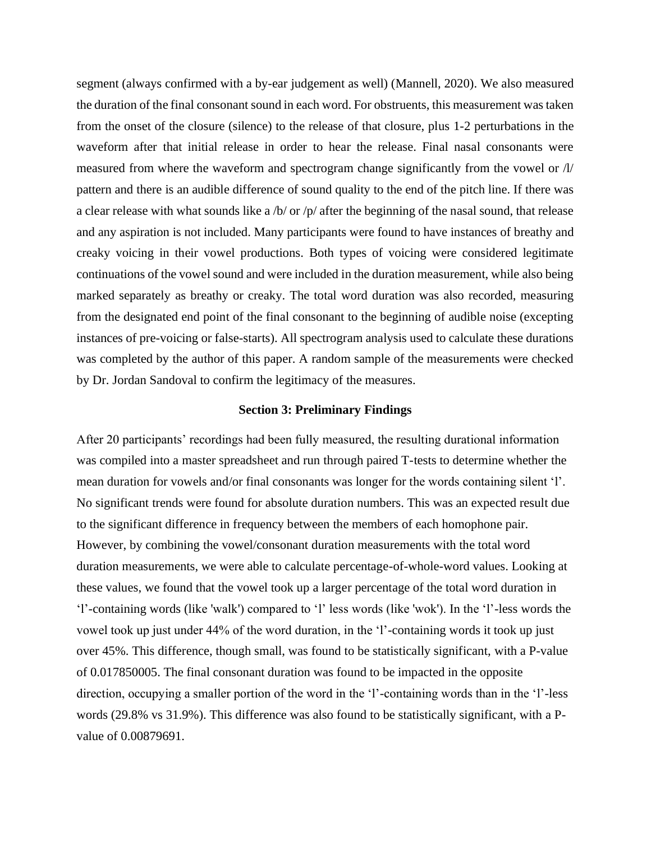segment (always confirmed with a by-ear judgement as well) (Mannell, 2020). We also measured the duration of the final consonant sound in each word. For obstruents, this measurement was taken from the onset of the closure (silence) to the release of that closure, plus 1-2 perturbations in the waveform after that initial release in order to hear the release. Final nasal consonants were measured from where the waveform and spectrogram change significantly from the vowel or  $\Lambda$ pattern and there is an audible difference of sound quality to the end of the pitch line. If there was a clear release with what sounds like a /b/ or /p/ after the beginning of the nasal sound, that release and any aspiration is not included. Many participants were found to have instances of breathy and creaky voicing in their vowel productions. Both types of voicing were considered legitimate continuations of the vowel sound and were included in the duration measurement, while also being marked separately as breathy or creaky. The total word duration was also recorded, measuring from the designated end point of the final consonant to the beginning of audible noise (excepting instances of pre-voicing or false-starts). All spectrogram analysis used to calculate these durations was completed by the author of this paper. A random sample of the measurements were checked by Dr. Jordan Sandoval to confirm the legitimacy of the measures.

#### **Section 3: Preliminary Findings**

After 20 participants' recordings had been fully measured, the resulting durational information was compiled into a master spreadsheet and run through paired T-tests to determine whether the mean duration for vowels and/or final consonants was longer for the words containing silent 'l'. No significant trends were found for absolute duration numbers. This was an expected result due to the significant difference in frequency between the members of each homophone pair. However, by combining the vowel/consonant duration measurements with the total word duration measurements, we were able to calculate percentage-of-whole-word values. Looking at these values, we found that the vowel took up a larger percentage of the total word duration in 'l'-containing words (like 'walk') compared to 'l' less words (like 'wok'). In the 'l'-less words the vowel took up just under 44% of the word duration, in the 'l'-containing words it took up just over 45%. This difference, though small, was found to be statistically significant, with a P-value of 0.017850005. The final consonant duration was found to be impacted in the opposite direction, occupying a smaller portion of the word in the 'l'-containing words than in the 'l'-less words (29.8% vs 31.9%). This difference was also found to be statistically significant, with a Pvalue of 0.00879691.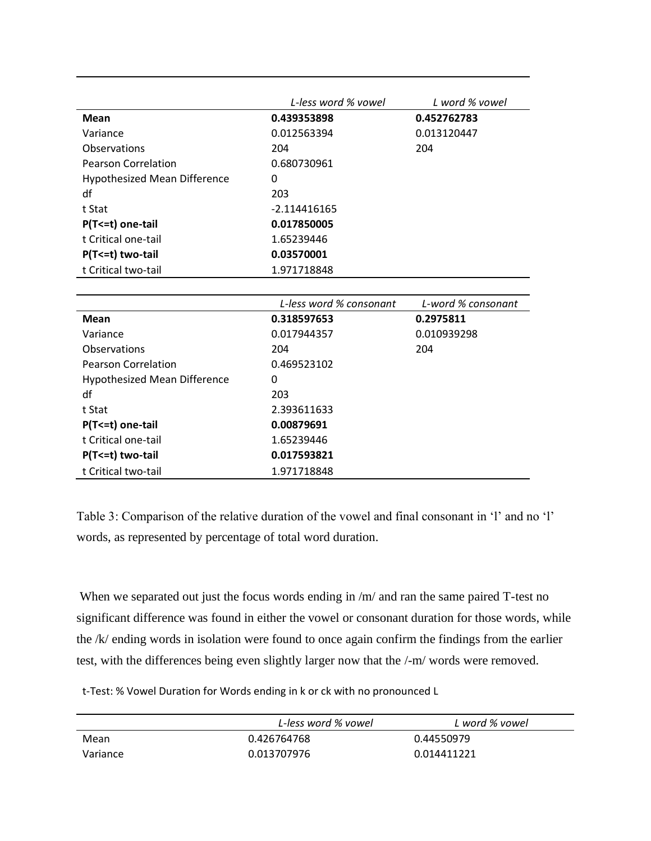|                                     | L-less word % vowel | L word % vowel |
|-------------------------------------|---------------------|----------------|
| Mean                                | 0.439353898         | 0.452762783    |
| Variance                            | 0.012563394         | 0.013120447    |
| Observations                        | 204                 | 204            |
| <b>Pearson Correlation</b>          | 0.680730961         |                |
| <b>Hypothesized Mean Difference</b> | 0                   |                |
| df                                  | 203                 |                |
| t Stat                              | -2.114416165        |                |
| P(T <= t) one-tail                  | 0.017850005         |                |
| t Critical one-tail                 | 1.65239446          |                |
| P(T<=t) two-tail                    | 0.03570001          |                |
| t Critical two-tail                 | 1.971718848         |                |

|                              | L-less word % consonant | L-word % consonant |
|------------------------------|-------------------------|--------------------|
| Mean                         | 0.318597653             | 0.2975811          |
| Variance                     | 0.017944357             | 0.010939298        |
| Observations                 | 204                     | 204                |
| <b>Pearson Correlation</b>   | 0.469523102             |                    |
| Hypothesized Mean Difference | 0                       |                    |
| df                           | 203                     |                    |
| t Stat                       | 2.393611633             |                    |
| P(T <= t) one-tail           | 0.00879691              |                    |
| t Critical one-tail          | 1.65239446              |                    |
| P(T <= t) two-tail           | 0.017593821             |                    |
| t Critical two-tail          | 1.971718848             |                    |

Table 3: Comparison of the relative duration of the vowel and final consonant in 'l' and no 'l' words, as represented by percentage of total word duration.

When we separated out just the focus words ending in /m/ and ran the same paired T-test no significant difference was found in either the vowel or consonant duration for those words, while the /k/ ending words in isolation were found to once again confirm the findings from the earlier test, with the differences being even slightly larger now that the /-m/ words were removed.

t-Test: % Vowel Duration for Words ending in k or ck with no pronounced L

|          | L-less word % vowel | L word % vowel |
|----------|---------------------|----------------|
| Mean     | 0.426764768         | 0.44550979     |
| Variance | 0.013707976         | 0.014411221    |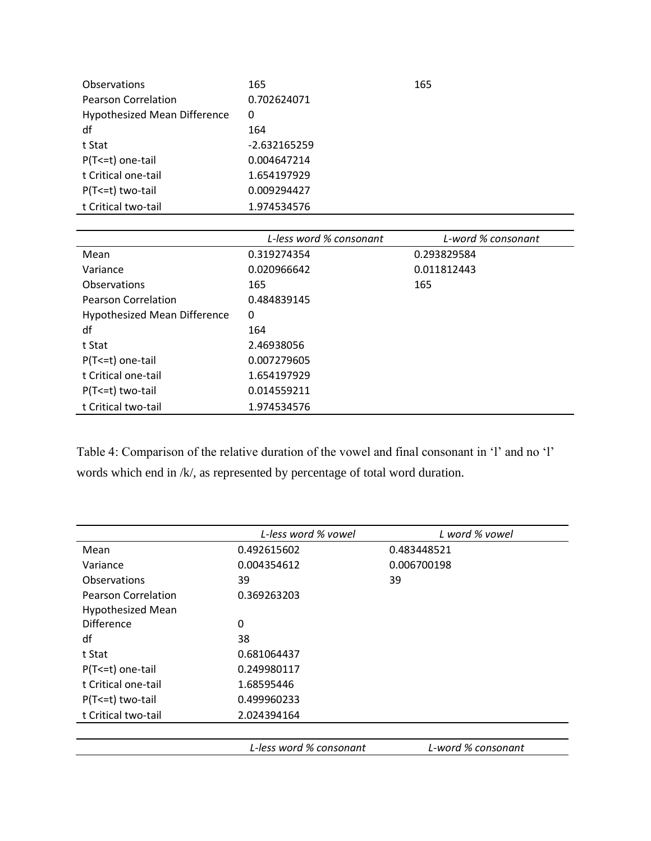| Observations                        | 165          | 165 |
|-------------------------------------|--------------|-----|
| Pearson Correlation                 | 0.702624071  |     |
| <b>Hypothesized Mean Difference</b> | 0            |     |
| df                                  | 164          |     |
| t Stat                              | -2.632165259 |     |
| P(T <= t) one-tail                  | 0.004647214  |     |
| t Critical one-tail                 | 1.654197929  |     |
| $P(T \le t)$ two-tail               | 0.009294427  |     |
| t Critical two-tail                 | 1.974534576  |     |

|                              | L-less word % consonant | L-word % consonant |
|------------------------------|-------------------------|--------------------|
| Mean                         | 0.319274354             | 0.293829584        |
| Variance                     | 0.020966642             | 0.011812443        |
| Observations                 | 165                     | 165                |
| <b>Pearson Correlation</b>   | 0.484839145             |                    |
| Hypothesized Mean Difference | 0                       |                    |
| df                           | 164                     |                    |
| t Stat                       | 2.46938056              |                    |
| P(T <= t) one-tail           | 0.007279605             |                    |
| t Critical one-tail          | 1.654197929             |                    |
| P(T<=t) two-tail             | 0.014559211             |                    |
| t Critical two-tail          | 1.974534576             |                    |

Table 4: Comparison of the relative duration of the vowel and final consonant in 'l' and no 'l' words which end in /k/, as represented by percentage of total word duration.

|                            | L-less word % vowel     | L word % vowel     |
|----------------------------|-------------------------|--------------------|
| Mean                       | 0.492615602             | 0.483448521        |
| Variance                   | 0.004354612             | 0.006700198        |
| Observations               | 39                      | 39                 |
| <b>Pearson Correlation</b> | 0.369263203             |                    |
| <b>Hypothesized Mean</b>   |                         |                    |
| <b>Difference</b>          | 0                       |                    |
| df                         | 38                      |                    |
| t Stat                     | 0.681064437             |                    |
| P(T <= t) one-tail         | 0.249980117             |                    |
| t Critical one-tail        | 1.68595446              |                    |
| P(T <= t) two-tail         | 0.499960233             |                    |
| t Critical two-tail        | 2.024394164             |                    |
|                            |                         |                    |
|                            | L-less word % consonant | L-word % consonant |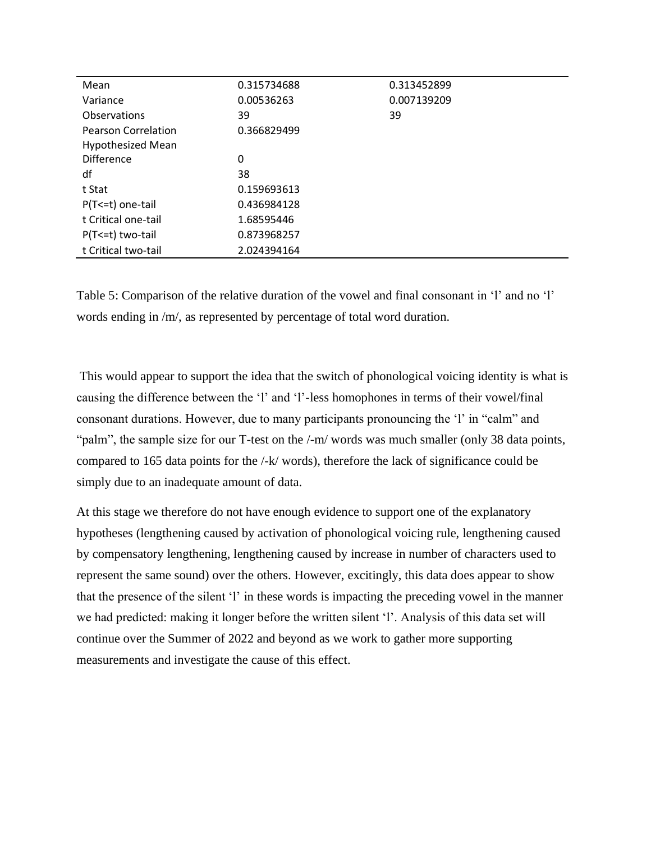| Mean                       | 0.315734688 | 0.313452899 |
|----------------------------|-------------|-------------|
| Variance                   | 0.00536263  | 0.007139209 |
| Observations               | 39          | 39          |
| <b>Pearson Correlation</b> | 0.366829499 |             |
| <b>Hypothesized Mean</b>   |             |             |
| <b>Difference</b>          | 0           |             |
| df                         | 38          |             |
| t Stat                     | 0.159693613 |             |
| P(T <= t) one-tail         | 0.436984128 |             |
| t Critical one-tail        | 1.68595446  |             |
| P(T <= t) two-tail         | 0.873968257 |             |
| t Critical two-tail        | 2.024394164 |             |

Table 5: Comparison of the relative duration of the vowel and final consonant in 'l' and no 'l' words ending in /m/, as represented by percentage of total word duration.

This would appear to support the idea that the switch of phonological voicing identity is what is causing the difference between the 'l' and 'l'-less homophones in terms of their vowel/final consonant durations. However, due to many participants pronouncing the 'l' in "calm" and "palm", the sample size for our T-test on the /-m/ words was much smaller (only 38 data points, compared to 165 data points for the /-k/ words), therefore the lack of significance could be simply due to an inadequate amount of data.

At this stage we therefore do not have enough evidence to support one of the explanatory hypotheses (lengthening caused by activation of phonological voicing rule, lengthening caused by compensatory lengthening, lengthening caused by increase in number of characters used to represent the same sound) over the others. However, excitingly, this data does appear to show that the presence of the silent 'l' in these words is impacting the preceding vowel in the manner we had predicted: making it longer before the written silent 'l'. Analysis of this data set will continue over the Summer of 2022 and beyond as we work to gather more supporting measurements and investigate the cause of this effect.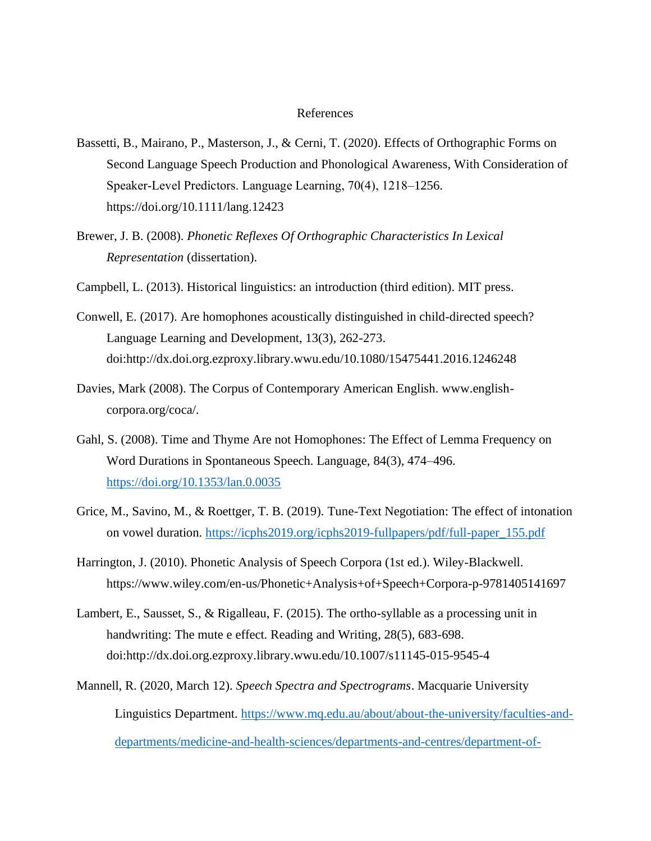#### References

- Bassetti, B., Mairano, P., Masterson, J., & Cerni, T. (2020). Effects of Orthographic Forms on Second Language Speech Production and Phonological Awareness, With Consideration of Speaker‐Level Predictors. Language Learning, 70(4), 1218–1256. https://doi.org/10.1111/lang.12423
- Brewer, J. B. (2008). *Phonetic Reflexes Of Orthographic Characteristics In Lexical Representation* (dissertation).
- Campbell, L. (2013). Historical linguistics: an introduction (third edition). MIT press.
- Conwell, E. (2017). Are homophones acoustically distinguished in child-directed speech? Language Learning and Development, 13(3), 262-273. doi:http://dx.doi.org.ezproxy.library.wwu.edu/10.1080/15475441.2016.1246248
- Davies, Mark (2008). The Corpus of Contemporary American English. www.englishcorpora.org/coca/.
- Gahl, S. (2008). Time and Thyme Are not Homophones: The Effect of Lemma Frequency on Word Durations in Spontaneous Speech. Language, 84(3), 474–496. <https://doi.org/10.1353/lan.0.0035>
- Grice, M., Savino, M., & Roettger, T. B. (2019). Tune-Text Negotiation: The effect of intonation on vowel duration. [https://icphs2019.org/icphs2019-fullpapers/pdf/full-paper\\_155.pdf](https://icphs2019.org/icphs2019-fullpapers/pdf/full-paper_155.pdf)
- Harrington, J. (2010). Phonetic Analysis of Speech Corpora (1st ed.). Wiley-Blackwell. https://www.wiley.com/en-us/Phonetic+Analysis+of+Speech+Corpora-p-9781405141697
- Lambert, E., Sausset, S., & Rigalleau, F. (2015). The ortho-syllable as a processing unit in handwriting: The mute e effect. Reading and Writing, 28(5), 683-698. doi:http://dx.doi.org.ezproxy.library.wwu.edu/10.1007/s11145-015-9545-4
- Mannell, R. (2020, March 12). *Speech Spectra and Spectrograms*. Macquarie University Linguistics Department. [https://www.mq.edu.au/about/about-the-university/faculties-and](https://www.mq.edu.au/about/about-the-university/faculties-and-departments/medicine-and-health-sciences/departments-and-centres/department-of-linguistics/our-research/phonetics-and-phonology/speech/acoustics/speech-acoustics/approximants)[departments/medicine-and-health-sciences/departments-and-centres/department-of-](https://www.mq.edu.au/about/about-the-university/faculties-and-departments/medicine-and-health-sciences/departments-and-centres/department-of-linguistics/our-research/phonetics-and-phonology/speech/acoustics/speech-acoustics/approximants)